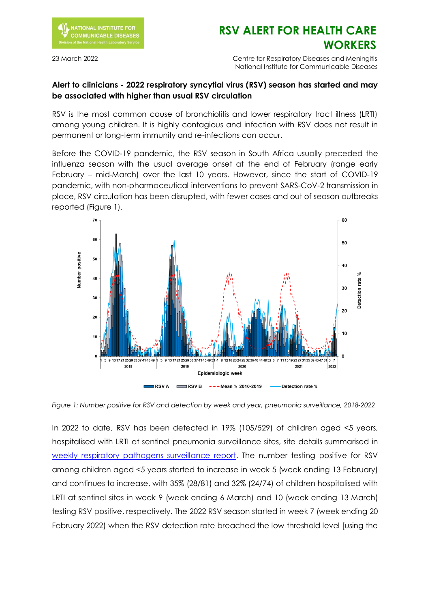

## **RSV ALERT FOR HEALTH CARE WORKERS**

23 March 2022 Centre for Respiratory Diseases and Meningitis National Institute for Communicable Diseases

## **Alert to clinicians - 2022 respiratory syncytial virus (RSV) season has started and may be associated with higher than usual RSV circulation**

RSV is the most common cause of bronchiolitis and lower respiratory tract illness (LRTI) among young children. It is highly contagious and infection with RSV does not result in permanent or long-term immunity and re-infections can occur.

Before the COVID-19 pandemic, the RSV season in South Africa usually preceded the influenza season with the usual average onset at the end of February (range early February – mid-March) over the last 10 years. However, since the start of COVID-19 pandemic, with non-pharmaceutical interventions to prevent SARS-CoV-2 transmission in place, RSV circulation has been disrupted, with fewer cases and out of season outbreaks reported (Figure 1).



*Figure 1: Number positive for RSV and detection by week and year, pneumonia surveillance, 2018-2022*

In 2022 to date, RSV has been detected in 19% (105/529) of children aged <5 years, hospitalised with LRTI at sentinel pneumonia surveillance sites, site details summarised in [weekly respiratory pathogens surveillance report.](https://www.nicd.ac.za/diseases-a-z-index/disease-index-covid-19/surveillance-reports/weekly-respiratory-pathogens-surveillance-report-week/) The number testing positive for RSV among children aged <5 years started to increase in week 5 (week ending 13 February) and continues to increase, with 35% (28/81) and 32% (24/74) of children hospitalised with LRTI at sentinel sites in week 9 (week ending 6 March) and 10 (week ending 13 March) testing RSV positive, respectively. The 2022 RSV season started in week 7 (week ending 20 February 2022) when the RSV detection rate breached the low threshold level [using the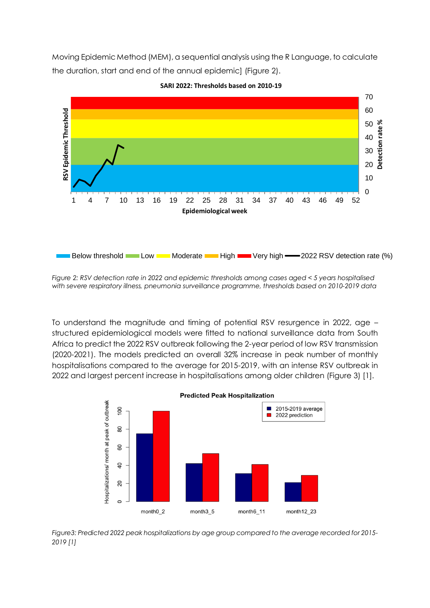Moving Epidemic Method (MEM), a sequential analysis using the R Language, to calculate the duration, start and end of the annual epidemic] (Figure 2).



**SARI 2022: Thresholds based on 2010-19**

*Figure 2: RSV detection rate in 2022 and epidemic thresholds among cases aged < 5 years hospitalised with severe respiratory illness, pneumonia surveillance programme, thresholds based on 2010-2019 data*

To understand the magnitude and timing of potential RSV resurgence in 2022, age – structured epidemiological models were fitted to national surveillance data from South Africa to predict the 2022 RSV outbreak following the 2-year period of low RSV transmission (2020-2021). The models predicted an overall 32% increase in peak number of monthly hospitalisations compared to the average for 2015-2019, with an intense RSV outbreak in 2022 and largest percent increase in hospitalisations among older children (Figure 3) [1].



*Figure3: Predicted 2022 peak hospitalizations by age group compared to the average recorded for 2015- 2019 [1]*